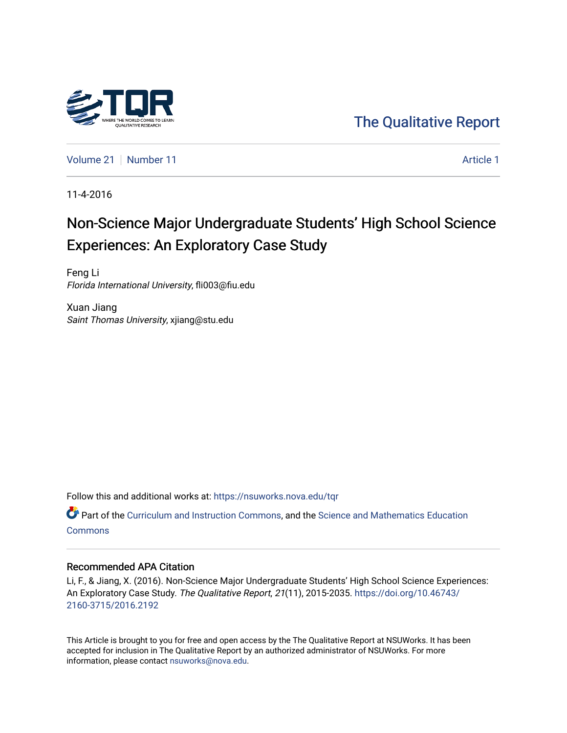

[The Qualitative Report](https://nsuworks.nova.edu/tqr) 

[Volume 21](https://nsuworks.nova.edu/tqr/vol21) [Number 11](https://nsuworks.nova.edu/tqr/vol21/iss11) Article 1

11-4-2016

# Non-Science Major Undergraduate Students' High School Science Experiences: An Exploratory Case Study

Feng Li Florida International University, fli003@fiu.edu

Xuan Jiang Saint Thomas University, xjiang@stu.edu

Follow this and additional works at: [https://nsuworks.nova.edu/tqr](https://nsuworks.nova.edu/tqr?utm_source=nsuworks.nova.edu%2Ftqr%2Fvol21%2Fiss11%2F1&utm_medium=PDF&utm_campaign=PDFCoverPages) 

**P** Part of the [Curriculum and Instruction Commons,](http://network.bepress.com/hgg/discipline/786?utm_source=nsuworks.nova.edu%2Ftqr%2Fvol21%2Fiss11%2F1&utm_medium=PDF&utm_campaign=PDFCoverPages) and the Science and Mathematics Education **[Commons](http://network.bepress.com/hgg/discipline/800?utm_source=nsuworks.nova.edu%2Ftqr%2Fvol21%2Fiss11%2F1&utm_medium=PDF&utm_campaign=PDFCoverPages)** 

#### Recommended APA Citation

Li, F., & Jiang, X. (2016). Non-Science Major Undergraduate Students' High School Science Experiences: An Exploratory Case Study. The Qualitative Report, 21(11), 2015-2035. [https://doi.org/10.46743/](https://doi.org/10.46743/2160-3715/2016.2192) [2160-3715/2016.2192](https://doi.org/10.46743/2160-3715/2016.2192)

This Article is brought to you for free and open access by the The Qualitative Report at NSUWorks. It has been accepted for inclusion in The Qualitative Report by an authorized administrator of NSUWorks. For more information, please contact [nsuworks@nova.edu.](mailto:nsuworks@nova.edu)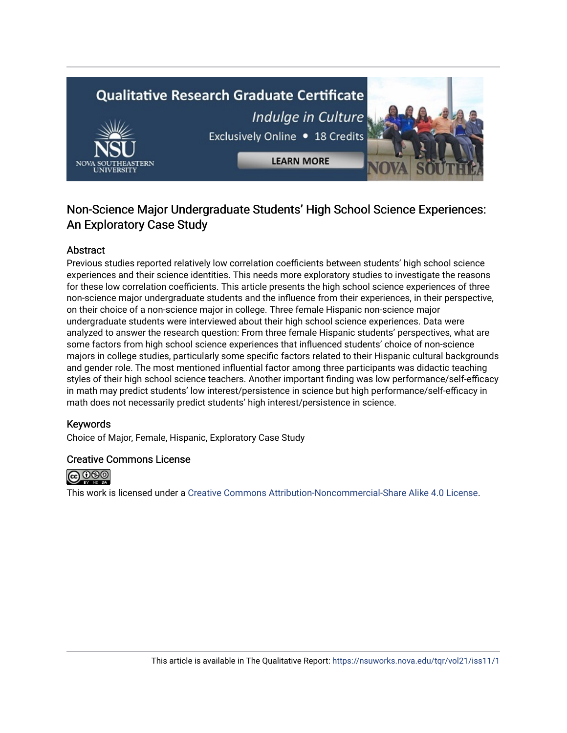# **Qualitative Research Graduate Certificate** Indulge in Culture Exclusively Online . 18 Credits



# Non-Science Major Undergraduate Students' High School Science Experiences: An Exploratory Case Study

# Abstract

Previous studies reported relatively low correlation coefficients between students' high school science experiences and their science identities. This needs more exploratory studies to investigate the reasons for these low correlation coefficients. This article presents the high school science experiences of three non-science major undergraduate students and the influence from their experiences, in their perspective, on their choice of a non-science major in college. Three female Hispanic non-science major undergraduate students were interviewed about their high school science experiences. Data were analyzed to answer the research question: From three female Hispanic students' perspectives, what are some factors from high school science experiences that influenced students' choice of non-science majors in college studies, particularly some specific factors related to their Hispanic cultural backgrounds and gender role. The most mentioned influential factor among three participants was didactic teaching styles of their high school science teachers. Another important finding was low performance/self-efficacy in math may predict students' low interest/persistence in science but high performance/self-efficacy in math does not necessarily predict students' high interest/persistence in science.

# Keywords

Choice of Major, Female, Hispanic, Exploratory Case Study

# Creative Commons License



This work is licensed under a [Creative Commons Attribution-Noncommercial-Share Alike 4.0 License](https://creativecommons.org/licenses/by-nc-sa/4.0/).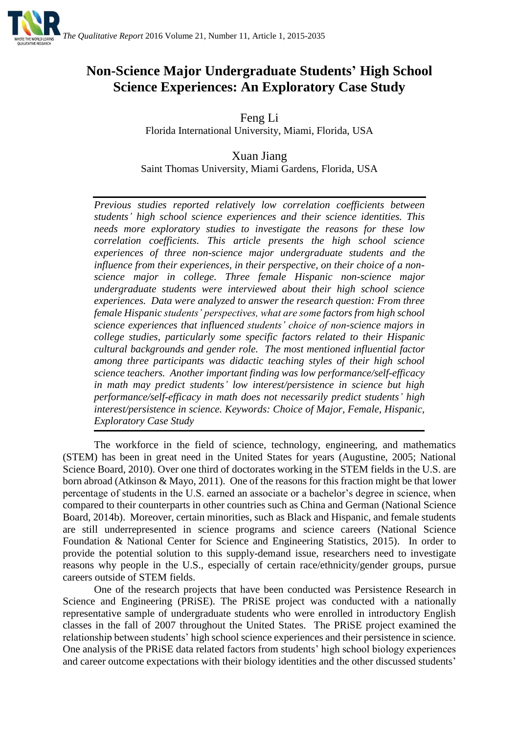

# **Non-Science Major Undergraduate Students' High School Science Experiences: An Exploratory Case Study**

Feng Li Florida International University, Miami, Florida, USA

Xuan Jiang Saint Thomas University, Miami Gardens, Florida, USA

*Previous studies reported relatively low correlation coefficients between students' high school science experiences and their science identities. This needs more exploratory studies to investigate the reasons for these low correlation coefficients. This article presents the high school science experiences of three non-science major undergraduate students and the influence from their experiences, in their perspective, on their choice of a nonscience major in college. Three female Hispanic non-science major undergraduate students were interviewed about their high school science experiences. Data were analyzed to answer the research question: From three female Hispanic students' perspectives, what are some factors from high school science experiences that influenced students' choice of non-science majors in college studies, particularly some specific factors related to their Hispanic cultural backgrounds and gender role. The most mentioned influential factor among three participants was didactic teaching styles of their high school science teachers. Another important finding was low performance/self-efficacy in math may predict students' low interest/persistence in science but high performance/self-efficacy in math does not necessarily predict students' high interest/persistence in science. Keywords: Choice of Major, Female, Hispanic, Exploratory Case Study*

The workforce in the field of science, technology, engineering, and mathematics (STEM) has been in great need in the United States for years (Augustine, 2005; National Science Board, 2010). Over one third of doctorates working in the STEM fields in the U.S. are born abroad (Atkinson & Mayo, 2011). One of the reasons for this fraction might be that lower percentage of students in the U.S. earned an associate or a bachelor's degree in science, when compared to their counterparts in other countries such as China and German (National Science Board, 2014b). Moreover, certain minorities, such as Black and Hispanic, and female students are still underrepresented in science programs and science careers (National Science Foundation & National Center for Science and Engineering Statistics, 2015). In order to provide the potential solution to this supply-demand issue, researchers need to investigate reasons why people in the U.S., especially of certain race/ethnicity/gender groups, pursue careers outside of STEM fields.

One of the research projects that have been conducted was Persistence Research in Science and Engineering (PRiSE). The PRiSE project was conducted with a nationally representative sample of undergraduate students who were enrolled in introductory English classes in the fall of 2007 throughout the United States. The PRiSE project examined the relationship between students' high school science experiences and their persistence in science. One analysis of the PRiSE data related factors from students' high school biology experiences and career outcome expectations with their biology identities and the other discussed students'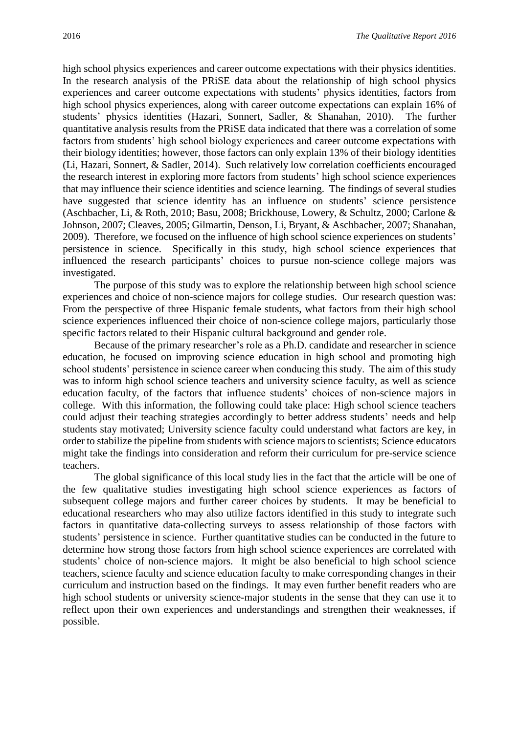high school physics experiences and career outcome expectations with their physics identities. In the research analysis of the PRiSE data about the relationship of high school physics experiences and career outcome expectations with students' physics identities, factors from high school physics experiences, along with career outcome expectations can explain 16% of students' physics identities (Hazari, Sonnert, Sadler, & Shanahan, 2010). The further quantitative analysis results from the PRiSE data indicated that there was a correlation of some factors from students' high school biology experiences and career outcome expectations with their biology identities; however, those factors can only explain 13% of their biology identities (Li, Hazari, Sonnert, & Sadler, 2014). Such relatively low correlation coefficients encouraged the research interest in exploring more factors from students' high school science experiences that may influence their science identities and science learning. The findings of several studies have suggested that science identity has an influence on students' science persistence (Aschbacher, Li, & Roth, 2010; Basu, 2008; Brickhouse, Lowery, & Schultz, 2000; Carlone & Johnson, 2007; Cleaves, 2005; Gilmartin, Denson, Li, Bryant, & Aschbacher, 2007; Shanahan, 2009). Therefore, we focused on the influence of high school science experiences on students' persistence in science. Specifically in this study, high school science experiences that influenced the research participants' choices to pursue non-science college majors was investigated.

The purpose of this study was to explore the relationship between high school science experiences and choice of non-science majors for college studies. Our research question was: From the perspective of three Hispanic female students, what factors from their high school science experiences influenced their choice of non-science college majors, particularly those specific factors related to their Hispanic cultural background and gender role.

Because of the primary researcher's role as a Ph.D. candidate and researcher in science education, he focused on improving science education in high school and promoting high school students' persistence in science career when conducing this study. The aim of this study was to inform high school science teachers and university science faculty, as well as science education faculty, of the factors that influence students' choices of non-science majors in college. With this information, the following could take place: High school science teachers could adjust their teaching strategies accordingly to better address students' needs and help students stay motivated; University science faculty could understand what factors are key, in order to stabilize the pipeline from students with science majors to scientists; Science educators might take the findings into consideration and reform their curriculum for pre-service science teachers.

The global significance of this local study lies in the fact that the article will be one of the few qualitative studies investigating high school science experiences as factors of subsequent college majors and further career choices by students. It may be beneficial to educational researchers who may also utilize factors identified in this study to integrate such factors in quantitative data-collecting surveys to assess relationship of those factors with students' persistence in science. Further quantitative studies can be conducted in the future to determine how strong those factors from high school science experiences are correlated with students' choice of non-science majors. It might be also beneficial to high school science teachers, science faculty and science education faculty to make corresponding changes in their curriculum and instruction based on the findings. It may even further benefit readers who are high school students or university science-major students in the sense that they can use it to reflect upon their own experiences and understandings and strengthen their weaknesses, if possible.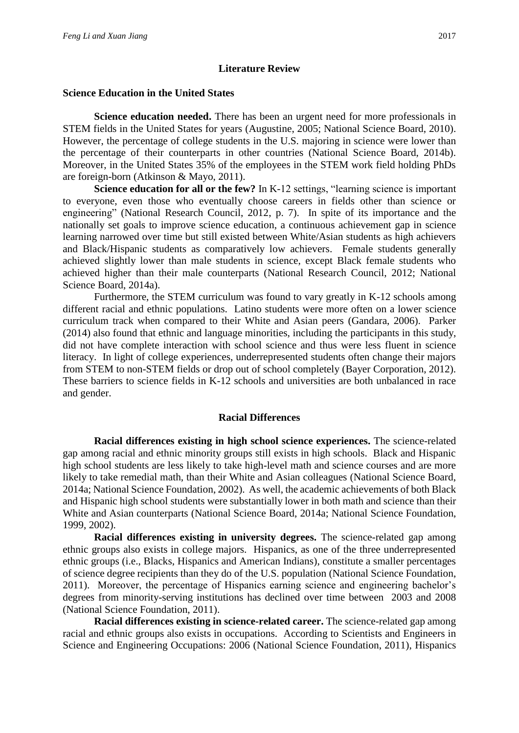# **Literature Review**

## **Science Education in the United States**

**Science education needed.** There has been an urgent need for more professionals in STEM fields in the United States for years (Augustine, 2005; National Science Board, 2010). However, the percentage of college students in the U.S. majoring in science were lower than the percentage of their counterparts in other countries (National Science Board, 2014b). Moreover, in the United States 35% of the employees in the STEM work field holding PhDs are foreign-born (Atkinson & Mayo, 2011).

**Science education for all or the few?** In K-12 settings, "learning science is important to everyone, even those who eventually choose careers in fields other than science or engineering" (National Research Council, 2012, p. 7). In spite of its importance and the nationally set goals to improve science education, a continuous achievement gap in science learning narrowed over time but still existed between White/Asian students as high achievers and Black/Hispanic students as comparatively low achievers. Female students generally achieved slightly lower than male students in science, except Black female students who achieved higher than their male counterparts (National Research Council, 2012; National Science Board, 2014a).

Furthermore, the STEM curriculum was found to vary greatly in K-12 schools among different racial and ethnic populations. Latino students were more often on a lower science curriculum track when compared to their White and Asian peers (Gandara, 2006). Parker (2014) also found that ethnic and language minorities, including the participants in this study, did not have complete interaction with school science and thus were less fluent in science literacy. In light of college experiences, underrepresented students often change their majors from STEM to non-STEM fields or drop out of school completely (Bayer Corporation, 2012). These barriers to science fields in K-12 schools and universities are both unbalanced in race and gender.

# **Racial Differences**

**Racial differences existing in high school science experiences.** The science-related gap among racial and ethnic minority groups still exists in high schools. Black and Hispanic high school students are less likely to take high-level math and science courses and are more likely to take remedial math, than their White and Asian colleagues (National Science Board, 2014a; National Science Foundation, 2002). As well, the academic achievements of both Black and Hispanic high school students were substantially lower in both math and science than their White and Asian counterparts (National Science Board, 2014a; National Science Foundation, 1999, 2002).

**Racial differences existing in university degrees.** The science-related gap among ethnic groups also exists in college majors. Hispanics, as one of the three underrepresented ethnic groups (i.e., Blacks, Hispanics and American Indians), constitute a smaller percentages of science degree recipients than they do of the U.S. population (National Science Foundation, 2011). Moreover, the percentage of Hispanics earning science and engineering bachelor's degrees from minority-serving institutions has declined over time between 2003 and 2008 (National Science Foundation, 2011).

**Racial differences existing in science-related career.** The science-related gap among racial and ethnic groups also exists in occupations. According to Scientists and Engineers in Science and Engineering Occupations: 2006 (National Science Foundation, 2011), Hispanics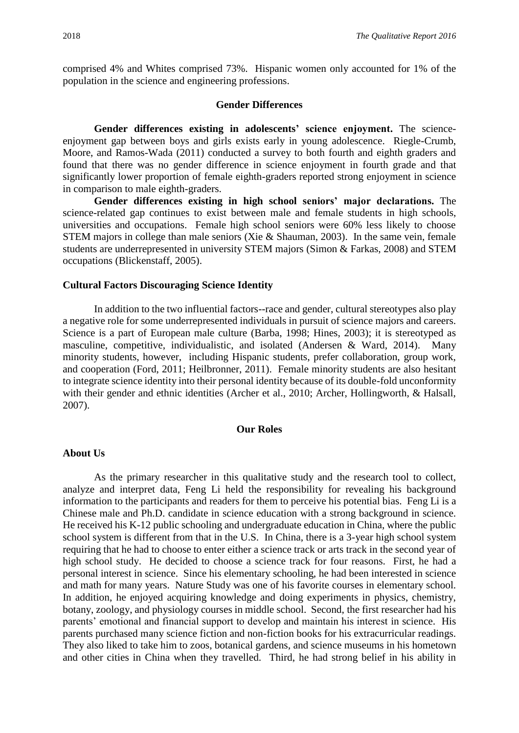comprised 4% and Whites comprised 73%. Hispanic women only accounted for 1% of the population in the science and engineering professions.

#### **Gender Differences**

**Gender differences existing in adolescents' science enjoyment.** The scienceenjoyment gap between boys and girls exists early in young adolescence. Riegle-Crumb, Moore, and Ramos-Wada (2011) conducted a survey to both fourth and eighth graders and found that there was no gender difference in science enjoyment in fourth grade and that significantly lower proportion of female eighth-graders reported strong enjoyment in science in comparison to male eighth-graders.

**Gender differences existing in high school seniors' major declarations.** The science-related gap continues to exist between male and female students in high schools, universities and occupations. Female high school seniors were 60% less likely to choose STEM majors in college than male seniors (Xie & Shauman, 2003). In the same vein, female students are underrepresented in university STEM majors (Simon & Farkas, 2008) and STEM occupations (Blickenstaff, 2005).

#### **Cultural Factors Discouraging Science Identity**

In addition to the two influential factors--race and gender, cultural stereotypes also play a negative role for some underrepresented individuals in pursuit of science majors and careers. Science is a part of European male culture (Barba, 1998; Hines, 2003); it is stereotyped as masculine, competitive, individualistic, and isolated (Andersen & Ward, 2014). Many minority students, however, including Hispanic students, prefer collaboration, group work, and cooperation (Ford, 2011; Heilbronner, 2011). Female minority students are also hesitant to integrate science identity into their personal identity because of its double-fold unconformity with their gender and ethnic identities (Archer et al., 2010; Archer, Hollingworth, & Halsall, 2007).

#### **Our Roles**

## **About Us**

As the primary researcher in this qualitative study and the research tool to collect, analyze and interpret data, Feng Li held the responsibility for revealing his background information to the participants and readers for them to perceive his potential bias. Feng Li is a Chinese male and Ph.D. candidate in science education with a strong background in science. He received his K-12 public schooling and undergraduate education in China, where the public school system is different from that in the U.S. In China, there is a 3-year high school system requiring that he had to choose to enter either a science track or arts track in the second year of high school study. He decided to choose a science track for four reasons. First, he had a personal interest in science. Since his elementary schooling, he had been interested in science and math for many years. Nature Study was one of his favorite courses in elementary school. In addition, he enjoyed acquiring knowledge and doing experiments in physics, chemistry, botany, zoology, and physiology courses in middle school. Second, the first researcher had his parents' emotional and financial support to develop and maintain his interest in science. His parents purchased many science fiction and non-fiction books for his extracurricular readings. They also liked to take him to zoos, botanical gardens, and science museums in his hometown and other cities in China when they travelled. Third, he had strong belief in his ability in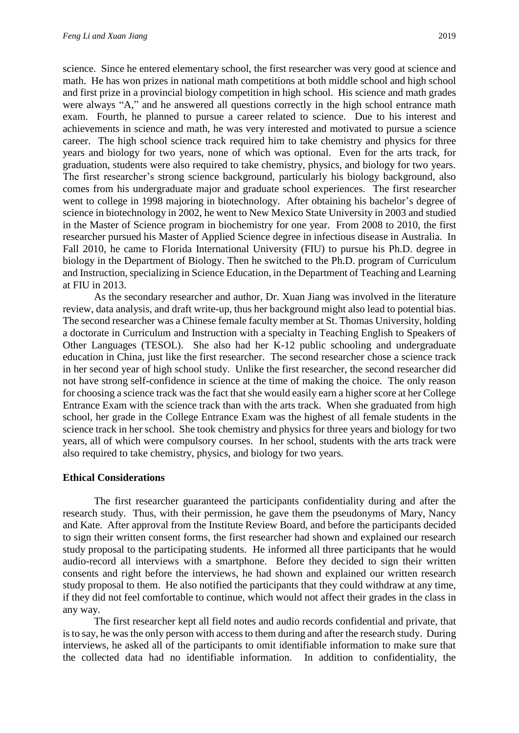math. He has won prizes in national math competitions at both middle school and high school and first prize in a provincial biology competition in high school. His science and math grades were always "A," and he answered all questions correctly in the high school entrance math exam. Fourth, he planned to pursue a career related to science. Due to his interest and achievements in science and math, he was very interested and motivated to pursue a science career. The high school science track required him to take chemistry and physics for three years and biology for two years, none of which was optional. Even for the arts track, for graduation, students were also required to take chemistry, physics, and biology for two years. The first researcher's strong science background, particularly his biology background, also comes from his undergraduate major and graduate school experiences. The first researcher went to college in 1998 majoring in biotechnology. After obtaining his bachelor's degree of science in biotechnology in 2002, he went to New Mexico State University in 2003 and studied in the Master of Science program in biochemistry for one year. From 2008 to 2010, the first researcher pursued his Master of Applied Science degree in infectious disease in Australia. In Fall 2010, he came to Florida International University (FIU) to pursue his Ph.D. degree in biology in the Department of Biology. Then he switched to the Ph.D. program of Curriculum and Instruction, specializing in Science Education, in the Department of Teaching and Learning at FIU in 2013.

As the secondary researcher and author, Dr. Xuan Jiang was involved in the literature review, data analysis, and draft write-up, thus her background might also lead to potential bias. The second researcher was a Chinese female faculty member at St. Thomas University, holding a doctorate in Curriculum and Instruction with a specialty in Teaching English to Speakers of Other Languages (TESOL). She also had her K-12 public schooling and undergraduate education in China, just like the first researcher. The second researcher chose a science track in her second year of high school study. Unlike the first researcher, the second researcher did not have strong self-confidence in science at the time of making the choice. The only reason for choosing a science track was the fact that she would easily earn a higher score at her College Entrance Exam with the science track than with the arts track. When she graduated from high school, her grade in the College Entrance Exam was the highest of all female students in the science track in her school. She took chemistry and physics for three years and biology for two years, all of which were compulsory courses. In her school, students with the arts track were also required to take chemistry, physics, and biology for two years.

# **Ethical Considerations**

The first researcher guaranteed the participants confidentiality during and after the research study. Thus, with their permission, he gave them the pseudonyms of Mary, Nancy and Kate. After approval from the Institute Review Board, and before the participants decided to sign their written consent forms, the first researcher had shown and explained our research study proposal to the participating students. He informed all three participants that he would audio-record all interviews with a smartphone. Before they decided to sign their written consents and right before the interviews, he had shown and explained our written research study proposal to them. He also notified the participants that they could withdraw at any time, if they did not feel comfortable to continue, which would not affect their grades in the class in any way.

The first researcher kept all field notes and audio records confidential and private, that isto say, he was the only person with access to them during and after the research study. During interviews, he asked all of the participants to omit identifiable information to make sure that the collected data had no identifiable information. In addition to confidentiality, the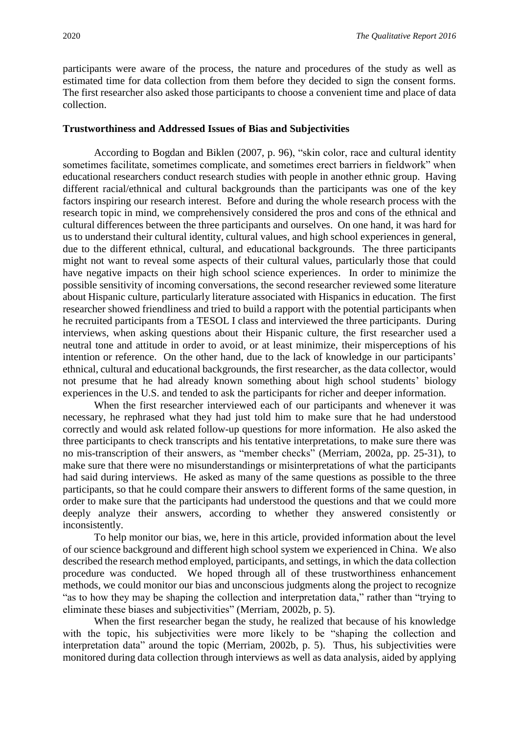participants were aware of the process, the nature and procedures of the study as well as estimated time for data collection from them before they decided to sign the consent forms. The first researcher also asked those participants to choose a convenient time and place of data collection.

#### **Trustworthiness and Addressed Issues of Bias and Subjectivities**

According to Bogdan and Biklen (2007, p. 96), "skin color, race and cultural identity sometimes facilitate, sometimes complicate, and sometimes erect barriers in fieldwork" when educational researchers conduct research studies with people in another ethnic group. Having different racial/ethnical and cultural backgrounds than the participants was one of the key factors inspiring our research interest. Before and during the whole research process with the research topic in mind, we comprehensively considered the pros and cons of the ethnical and cultural differences between the three participants and ourselves. On one hand, it was hard for us to understand their cultural identity, cultural values, and high school experiences in general, due to the different ethnical, cultural, and educational backgrounds. The three participants might not want to reveal some aspects of their cultural values, particularly those that could have negative impacts on their high school science experiences. In order to minimize the possible sensitivity of incoming conversations, the second researcher reviewed some literature about Hispanic culture, particularly literature associated with Hispanics in education. The first researcher showed friendliness and tried to build a rapport with the potential participants when he recruited participants from a TESOL I class and interviewed the three participants. During interviews, when asking questions about their Hispanic culture, the first researcher used a neutral tone and attitude in order to avoid, or at least minimize, their misperceptions of his intention or reference. On the other hand, due to the lack of knowledge in our participants' ethnical, cultural and educational backgrounds, the first researcher, as the data collector, would not presume that he had already known something about high school students' biology experiences in the U.S. and tended to ask the participants for richer and deeper information.

When the first researcher interviewed each of our participants and whenever it was necessary, he rephrased what they had just told him to make sure that he had understood correctly and would ask related follow-up questions for more information. He also asked the three participants to check transcripts and his tentative interpretations, to make sure there was no mis-transcription of their answers, as "member checks" (Merriam, 2002a, pp. 25-31), to make sure that there were no misunderstandings or misinterpretations of what the participants had said during interviews. He asked as many of the same questions as possible to the three participants, so that he could compare their answers to different forms of the same question, in order to make sure that the participants had understood the questions and that we could more deeply analyze their answers, according to whether they answered consistently or inconsistently.

To help monitor our bias, we, here in this article, provided information about the level of our science background and different high school system we experienced in China. We also described the research method employed, participants, and settings, in which the data collection procedure was conducted. We hoped through all of these trustworthiness enhancement methods, we could monitor our bias and unconscious judgments along the project to recognize "as to how they may be shaping the collection and interpretation data," rather than "trying to eliminate these biases and subjectivities" (Merriam, 2002b, p. 5).

When the first researcher began the study, he realized that because of his knowledge with the topic, his subjectivities were more likely to be "shaping the collection and interpretation data" around the topic (Merriam, 2002b, p. 5). Thus, his subjectivities were monitored during data collection through interviews as well as data analysis, aided by applying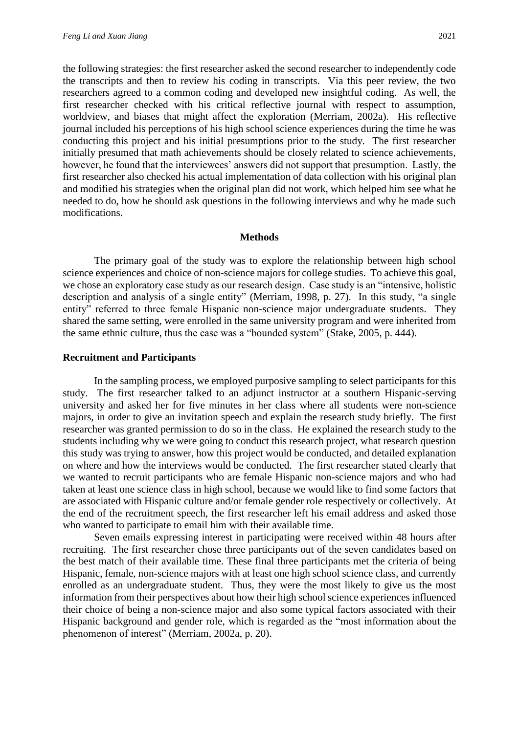the following strategies: the first researcher asked the second researcher to independently code the transcripts and then to review his coding in transcripts. Via this peer review, the two researchers agreed to a common coding and developed new insightful coding. As well, the first researcher checked with his critical reflective journal with respect to assumption, worldview, and biases that might affect the exploration (Merriam, 2002a). His reflective journal included his perceptions of his high school science experiences during the time he was conducting this project and his initial presumptions prior to the study. The first researcher initially presumed that math achievements should be closely related to science achievements, however, he found that the interviewees' answers did not support that presumption. Lastly, the first researcher also checked his actual implementation of data collection with his original plan and modified his strategies when the original plan did not work, which helped him see what he needed to do, how he should ask questions in the following interviews and why he made such modifications.

#### **Methods**

The primary goal of the study was to explore the relationship between high school science experiences and choice of non-science majors for college studies. To achieve this goal, we chose an exploratory case study as our research design. Case study is an "intensive, holistic description and analysis of a single entity" (Merriam, 1998, p. 27). In this study, "a single entity" referred to three female Hispanic non-science major undergraduate students. They shared the same setting, were enrolled in the same university program and were inherited from the same ethnic culture, thus the case was a "bounded system" (Stake, 2005, p. 444).

#### **Recruitment and Participants**

In the sampling process, we employed purposive sampling to select participants for this study. The first researcher talked to an adjunct instructor at a southern Hispanic-serving university and asked her for five minutes in her class where all students were non-science majors, in order to give an invitation speech and explain the research study briefly. The first researcher was granted permission to do so in the class. He explained the research study to the students including why we were going to conduct this research project, what research question this study was trying to answer, how this project would be conducted, and detailed explanation on where and how the interviews would be conducted. The first researcher stated clearly that we wanted to recruit participants who are female Hispanic non-science majors and who had taken at least one science class in high school, because we would like to find some factors that are associated with Hispanic culture and/or female gender role respectively or collectively. At the end of the recruitment speech, the first researcher left his email address and asked those who wanted to participate to email him with their available time.

Seven emails expressing interest in participating were received within 48 hours after recruiting. The first researcher chose three participants out of the seven candidates based on the best match of their available time. These final three participants met the criteria of being Hispanic, female, non-science majors with at least one high school science class, and currently enrolled as an undergraduate student. Thus, they were the most likely to give us the most information from their perspectives about how their high school science experiences influenced their choice of being a non-science major and also some typical factors associated with their Hispanic background and gender role, which is regarded as the "most information about the phenomenon of interest" (Merriam, 2002a, p. 20).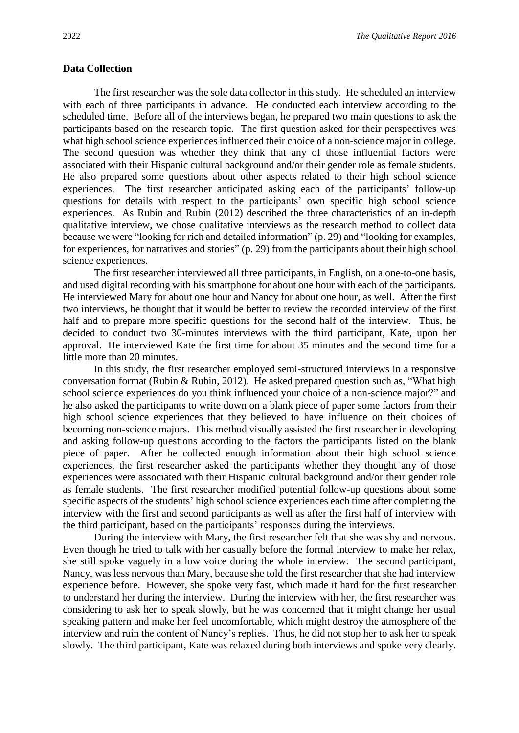#### **Data Collection**

The first researcher was the sole data collector in this study. He scheduled an interview with each of three participants in advance. He conducted each interview according to the scheduled time. Before all of the interviews began, he prepared two main questions to ask the participants based on the research topic. The first question asked for their perspectives was what high school science experiences influenced their choice of a non-science major in college. The second question was whether they think that any of those influential factors were associated with their Hispanic cultural background and/or their gender role as female students. He also prepared some questions about other aspects related to their high school science experiences. The first researcher anticipated asking each of the participants' follow-up questions for details with respect to the participants' own specific high school science experiences. As Rubin and Rubin (2012) described the three characteristics of an in-depth qualitative interview, we chose qualitative interviews as the research method to collect data because we were "looking for rich and detailed information" (p. 29) and "looking for examples, for experiences, for narratives and stories" (p. 29) from the participants about their high school science experiences.

The first researcher interviewed all three participants, in English, on a one-to-one basis, and used digital recording with his smartphone for about one hour with each of the participants. He interviewed Mary for about one hour and Nancy for about one hour, as well. After the first two interviews, he thought that it would be better to review the recorded interview of the first half and to prepare more specific questions for the second half of the interview. Thus, he decided to conduct two 30-minutes interviews with the third participant, Kate, upon her approval. He interviewed Kate the first time for about 35 minutes and the second time for a little more than 20 minutes.

In this study, the first researcher employed semi-structured interviews in a responsive conversation format (Rubin & Rubin, 2012). He asked prepared question such as, "What high school science experiences do you think influenced your choice of a non-science major?" and he also asked the participants to write down on a blank piece of paper some factors from their high school science experiences that they believed to have influence on their choices of becoming non-science majors. This method visually assisted the first researcher in developing and asking follow-up questions according to the factors the participants listed on the blank piece of paper. After he collected enough information about their high school science experiences, the first researcher asked the participants whether they thought any of those experiences were associated with their Hispanic cultural background and/or their gender role as female students. The first researcher modified potential follow-up questions about some specific aspects of the students' high school science experiences each time after completing the interview with the first and second participants as well as after the first half of interview with the third participant, based on the participants' responses during the interviews.

During the interview with Mary, the first researcher felt that she was shy and nervous. Even though he tried to talk with her casually before the formal interview to make her relax, she still spoke vaguely in a low voice during the whole interview. The second participant, Nancy, was less nervous than Mary, because she told the first researcher that she had interview experience before. However, she spoke very fast, which made it hard for the first researcher to understand her during the interview. During the interview with her, the first researcher was considering to ask her to speak slowly, but he was concerned that it might change her usual speaking pattern and make her feel uncomfortable, which might destroy the atmosphere of the interview and ruin the content of Nancy's replies. Thus, he did not stop her to ask her to speak slowly. The third participant, Kate was relaxed during both interviews and spoke very clearly.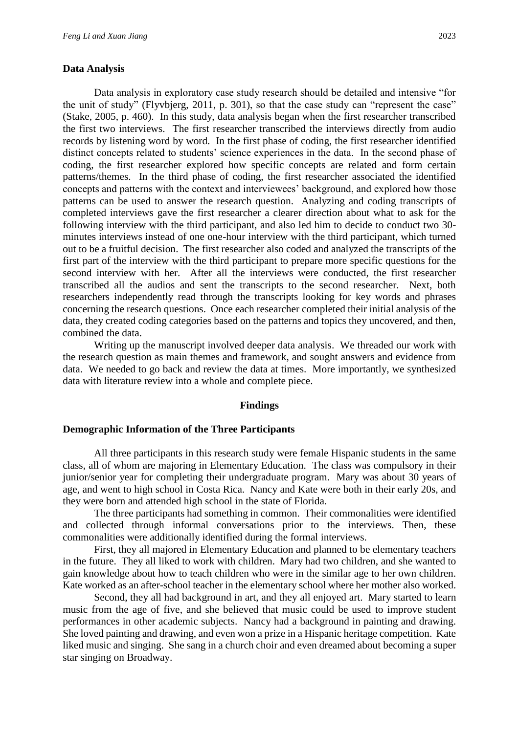#### **Data Analysis**

Data analysis in exploratory case study research should be detailed and intensive "for the unit of study" (Flyvbjerg, 2011, p. 301), so that the case study can "represent the case" (Stake, 2005, p. 460). In this study, data analysis began when the first researcher transcribed the first two interviews. The first researcher transcribed the interviews directly from audio records by listening word by word. In the first phase of coding, the first researcher identified distinct concepts related to students' science experiences in the data. In the second phase of coding, the first researcher explored how specific concepts are related and form certain patterns/themes. In the third phase of coding, the first researcher associated the identified concepts and patterns with the context and interviewees' background, and explored how those patterns can be used to answer the research question. Analyzing and coding transcripts of completed interviews gave the first researcher a clearer direction about what to ask for the following interview with the third participant, and also led him to decide to conduct two 30 minutes interviews instead of one one-hour interview with the third participant, which turned out to be a fruitful decision. The first researcher also coded and analyzed the transcripts of the first part of the interview with the third participant to prepare more specific questions for the second interview with her. After all the interviews were conducted, the first researcher transcribed all the audios and sent the transcripts to the second researcher. Next, both researchers independently read through the transcripts looking for key words and phrases concerning the research questions. Once each researcher completed their initial analysis of the data, they created coding categories based on the patterns and topics they uncovered, and then, combined the data.

Writing up the manuscript involved deeper data analysis. We threaded our work with the research question as main themes and framework, and sought answers and evidence from data. We needed to go back and review the data at times. More importantly, we synthesized data with literature review into a whole and complete piece.

#### **Findings**

#### **Demographic Information of the Three Participants**

All three participants in this research study were female Hispanic students in the same class, all of whom are majoring in Elementary Education. The class was compulsory in their junior/senior year for completing their undergraduate program. Mary was about 30 years of age, and went to high school in Costa Rica. Nancy and Kate were both in their early 20s, and they were born and attended high school in the state of Florida.

The three participants had something in common. Their commonalities were identified and collected through informal conversations prior to the interviews. Then, these commonalities were additionally identified during the formal interviews.

First, they all majored in Elementary Education and planned to be elementary teachers in the future. They all liked to work with children. Mary had two children, and she wanted to gain knowledge about how to teach children who were in the similar age to her own children. Kate worked as an after-school teacher in the elementary school where her mother also worked.

Second, they all had background in art, and they all enjoyed art. Mary started to learn music from the age of five, and she believed that music could be used to improve student performances in other academic subjects. Nancy had a background in painting and drawing. She loved painting and drawing, and even won a prize in a Hispanic heritage competition. Kate liked music and singing. She sang in a church choir and even dreamed about becoming a super star singing on Broadway.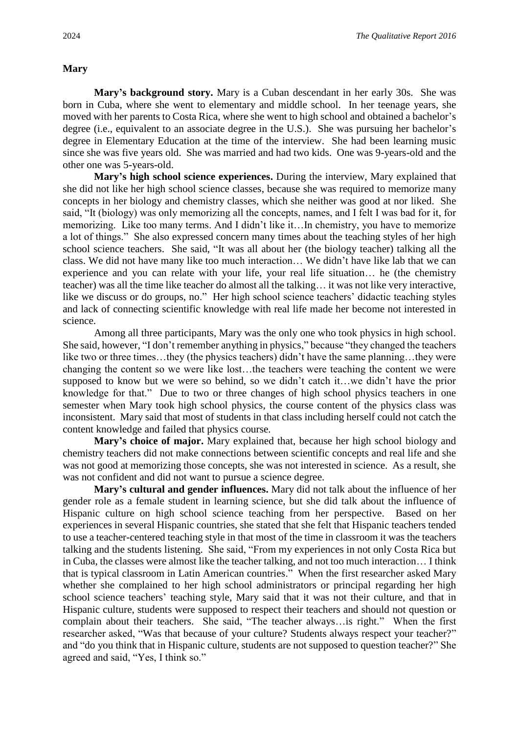## **Mary**

**Mary's background story.** Mary is a Cuban descendant in her early 30s. She was born in Cuba, where she went to elementary and middle school. In her teenage years, she moved with her parents to Costa Rica, where she went to high school and obtained a bachelor's degree (i.e., equivalent to an associate degree in the U.S.). She was pursuing her bachelor's degree in Elementary Education at the time of the interview. She had been learning music since she was five years old. She was married and had two kids. One was 9-years-old and the other one was 5-years-old.

**Mary's high school science experiences.** During the interview, Mary explained that she did not like her high school science classes, because she was required to memorize many concepts in her biology and chemistry classes, which she neither was good at nor liked. She said, "It (biology) was only memorizing all the concepts, names, and I felt I was bad for it, for memorizing. Like too many terms. And I didn't like it…In chemistry, you have to memorize a lot of things." She also expressed concern many times about the teaching styles of her high school science teachers. She said, "It was all about her (the biology teacher) talking all the class. We did not have many like too much interaction… We didn't have like lab that we can experience and you can relate with your life, your real life situation… he (the chemistry teacher) was all the time like teacher do almost all the talking… it was not like very interactive, like we discuss or do groups, no." Her high school science teachers' didactic teaching styles and lack of connecting scientific knowledge with real life made her become not interested in science.

Among all three participants, Mary was the only one who took physics in high school. She said, however, "I don't remember anything in physics," because "they changed the teachers like two or three times...they (the physics teachers) didn't have the same planning...they were changing the content so we were like lost…the teachers were teaching the content we were supposed to know but we were so behind, so we didn't catch it…we didn't have the prior knowledge for that." Due to two or three changes of high school physics teachers in one semester when Mary took high school physics, the course content of the physics class was inconsistent. Mary said that most of students in that class including herself could not catch the content knowledge and failed that physics course.

**Mary's choice of major.** Mary explained that, because her high school biology and chemistry teachers did not make connections between scientific concepts and real life and she was not good at memorizing those concepts, she was not interested in science. As a result, she was not confident and did not want to pursue a science degree.

**Mary's cultural and gender influences.** Mary did not talk about the influence of her gender role as a female student in learning science, but she did talk about the influence of Hispanic culture on high school science teaching from her perspective. Based on her experiences in several Hispanic countries, she stated that she felt that Hispanic teachers tended to use a teacher-centered teaching style in that most of the time in classroom it was the teachers talking and the students listening. She said, "From my experiences in not only Costa Rica but in Cuba, the classes were almost like the teacher talking, and not too much interaction… I think that is typical classroom in Latin American countries." When the first researcher asked Mary whether she complained to her high school administrators or principal regarding her high school science teachers' teaching style, Mary said that it was not their culture, and that in Hispanic culture, students were supposed to respect their teachers and should not question or complain about their teachers. She said, "The teacher always…is right." When the first researcher asked, "Was that because of your culture? Students always respect your teacher?" and "do you think that in Hispanic culture, students are not supposed to question teacher?" She agreed and said, "Yes, I think so."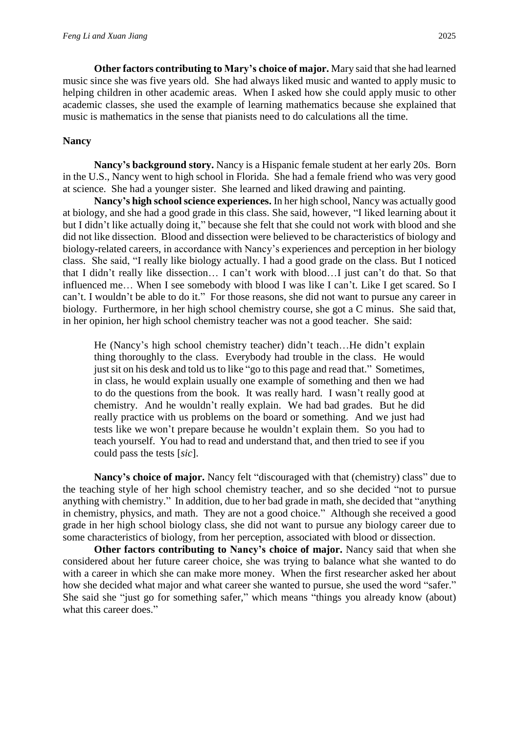**Other factors contributing to Mary's choice of major.** Mary said that she had learned music since she was five years old. She had always liked music and wanted to apply music to helping children in other academic areas. When I asked how she could apply music to other academic classes, she used the example of learning mathematics because she explained that music is mathematics in the sense that pianists need to do calculations all the time.

# **Nancy**

**Nancy's background story.** Nancy is a Hispanic female student at her early 20s. Born in the U.S., Nancy went to high school in Florida. She had a female friend who was very good at science. She had a younger sister. She learned and liked drawing and painting.

**Nancy's high school science experiences.** In her high school, Nancy was actually good at biology, and she had a good grade in this class. She said, however, "I liked learning about it but I didn't like actually doing it," because she felt that she could not work with blood and she did not like dissection. Blood and dissection were believed to be characteristics of biology and biology-related careers, in accordance with Nancy's experiences and perception in her biology class. She said, "I really like biology actually. I had a good grade on the class. But I noticed that I didn't really like dissection… I can't work with blood…I just can't do that. So that influenced me… When I see somebody with blood I was like I can't. Like I get scared. So I can't. I wouldn't be able to do it." For those reasons, she did not want to pursue any career in biology. Furthermore, in her high school chemistry course, she got a C minus. She said that, in her opinion, her high school chemistry teacher was not a good teacher. She said:

He (Nancy's high school chemistry teacher) didn't teach...He didn't explain thing thoroughly to the class. Everybody had trouble in the class. He would just sit on his desk and told us to like "go to this page and read that." Sometimes, in class, he would explain usually one example of something and then we had to do the questions from the book. It was really hard. I wasn't really good at chemistry. And he wouldn't really explain. We had bad grades. But he did really practice with us problems on the board or something. And we just had tests like we won't prepare because he wouldn't explain them. So you had to teach yourself. You had to read and understand that, and then tried to see if you could pass the tests [*sic*].

**Nancy's choice of major.** Nancy felt "discouraged with that (chemistry) class" due to the teaching style of her high school chemistry teacher, and so she decided "not to pursue anything with chemistry." In addition, due to her bad grade in math, she decided that "anything in chemistry, physics, and math. They are not a good choice." Although she received a good grade in her high school biology class, she did not want to pursue any biology career due to some characteristics of biology, from her perception, associated with blood or dissection.

**Other factors contributing to Nancy's choice of major.** Nancy said that when she considered about her future career choice, she was trying to balance what she wanted to do with a career in which she can make more money. When the first researcher asked her about how she decided what major and what career she wanted to pursue, she used the word "safer." She said she "just go for something safer," which means "things you already know (about) what this career does."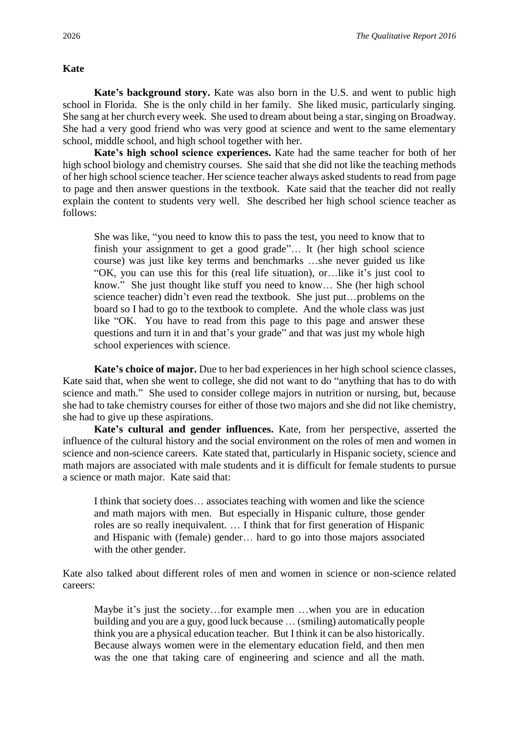## **Kate**

**Kate's background story.** Kate was also born in the U.S. and went to public high school in Florida. She is the only child in her family. She liked music, particularly singing. She sang at her church every week. She used to dream about being a star, singing on Broadway. She had a very good friend who was very good at science and went to the same elementary school, middle school, and high school together with her.

**Kate's high school science experiences.** Kate had the same teacher for both of her high school biology and chemistry courses. She said that she did not like the teaching methods of her high school science teacher. Her science teacher always asked students to read from page to page and then answer questions in the textbook. Kate said that the teacher did not really explain the content to students very well. She described her high school science teacher as follows:

She was like, "you need to know this to pass the test, you need to know that to finish your assignment to get a good grade"… It (her high school science course) was just like key terms and benchmarks …she never guided us like "OK, you can use this for this (real life situation), or…like it's just cool to know." She just thought like stuff you need to know… She (her high school science teacher) didn't even read the textbook. She just put…problems on the board so I had to go to the textbook to complete. And the whole class was just like "OK. You have to read from this page to this page and answer these questions and turn it in and that's your grade" and that was just my whole high school experiences with science.

**Kate's choice of major.** Due to her bad experiences in her high school science classes, Kate said that, when she went to college, she did not want to do "anything that has to do with science and math." She used to consider college majors in nutrition or nursing, but, because she had to take chemistry courses for either of those two majors and she did not like chemistry, she had to give up these aspirations.

**Kate's cultural and gender influences.** Kate, from her perspective, asserted the influence of the cultural history and the social environment on the roles of men and women in science and non-science careers. Kate stated that, particularly in Hispanic society, science and math majors are associated with male students and it is difficult for female students to pursue a science or math major. Kate said that:

I think that society does… associates teaching with women and like the science and math majors with men. But especially in Hispanic culture, those gender roles are so really inequivalent. … I think that for first generation of Hispanic and Hispanic with (female) gender… hard to go into those majors associated with the other gender.

Kate also talked about different roles of men and women in science or non-science related careers:

Maybe it's just the society…for example men …when you are in education building and you are a guy, good luck because … (smiling) automatically people think you are a physical education teacher. But I think it can be also historically. Because always women were in the elementary education field, and then men was the one that taking care of engineering and science and all the math.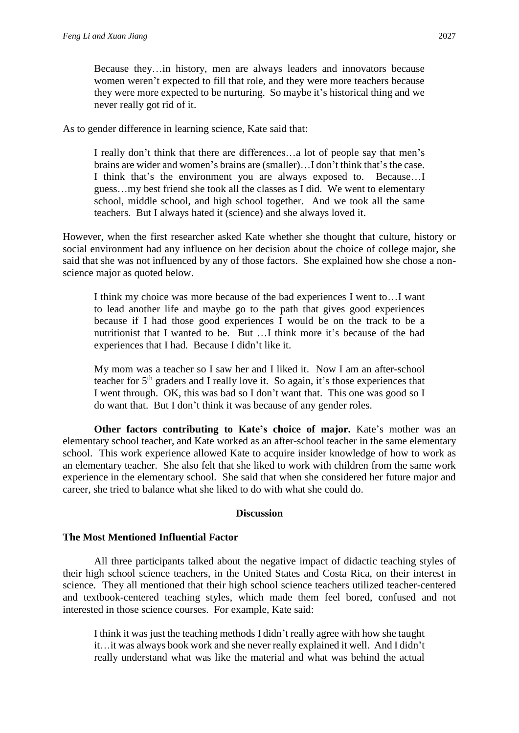Because they…in history, men are always leaders and innovators because women weren't expected to fill that role, and they were more teachers because they were more expected to be nurturing. So maybe it's historical thing and we never really got rid of it.

As to gender difference in learning science, Kate said that:

I really don't think that there are differences…a lot of people say that men's brains are wider and women's brains are (smaller)…I don't think that's the case. I think that's the environment you are always exposed to. Because…I guess…my best friend she took all the classes as I did. We went to elementary school, middle school, and high school together. And we took all the same teachers. But I always hated it (science) and she always loved it.

However, when the first researcher asked Kate whether she thought that culture, history or social environment had any influence on her decision about the choice of college major, she said that she was not influenced by any of those factors. She explained how she chose a nonscience major as quoted below.

I think my choice was more because of the bad experiences I went to…I want to lead another life and maybe go to the path that gives good experiences because if I had those good experiences I would be on the track to be a nutritionist that I wanted to be. But …I think more it's because of the bad experiences that I had. Because I didn't like it.

My mom was a teacher so I saw her and I liked it. Now I am an after-school teacher for 5th graders and I really love it. So again, it's those experiences that I went through. OK, this was bad so I don't want that. This one was good so I do want that. But I don't think it was because of any gender roles.

**Other factors contributing to Kate's choice of major.** Kate's mother was an elementary school teacher, and Kate worked as an after-school teacher in the same elementary school. This work experience allowed Kate to acquire insider knowledge of how to work as an elementary teacher. She also felt that she liked to work with children from the same work experience in the elementary school. She said that when she considered her future major and career, she tried to balance what she liked to do with what she could do.

# **Discussion**

# **The Most Mentioned Influential Factor**

All three participants talked about the negative impact of didactic teaching styles of their high school science teachers, in the United States and Costa Rica, on their interest in science. They all mentioned that their high school science teachers utilized teacher-centered and textbook-centered teaching styles, which made them feel bored, confused and not interested in those science courses. For example, Kate said:

I think it was just the teaching methods I didn't really agree with how she taught it…it was always book work and she never really explained it well. And I didn't really understand what was like the material and what was behind the actual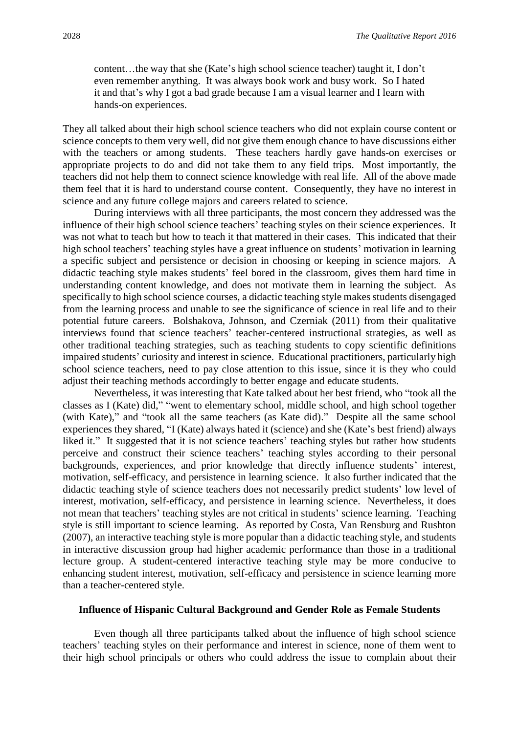content…the way that she (Kate's high school science teacher) taught it, I don't even remember anything. It was always book work and busy work. So I hated it and that's why I got a bad grade because I am a visual learner and I learn with hands-on experiences.

They all talked about their high school science teachers who did not explain course content or science concepts to them very well, did not give them enough chance to have discussions either with the teachers or among students. These teachers hardly gave hands-on exercises or appropriate projects to do and did not take them to any field trips. Most importantly, the teachers did not help them to connect science knowledge with real life. All of the above made them feel that it is hard to understand course content. Consequently, they have no interest in science and any future college majors and careers related to science.

During interviews with all three participants, the most concern they addressed was the influence of their high school science teachers' teaching styles on their science experiences. It was not what to teach but how to teach it that mattered in their cases. This indicated that their high school teachers' teaching styles have a great influence on students' motivation in learning a specific subject and persistence or decision in choosing or keeping in science majors. A didactic teaching style makes students' feel bored in the classroom, gives them hard time in understanding content knowledge, and does not motivate them in learning the subject. As specifically to high school science courses, a didactic teaching style makes students disengaged from the learning process and unable to see the significance of science in real life and to their potential future careers. Bolshakova, Johnson, and Czerniak (2011) from their qualitative interviews found that science teachers' teacher-centered instructional strategies, as well as other traditional teaching strategies, such as teaching students to copy scientific definitions impaired students' curiosity and interest in science. Educational practitioners, particularly high school science teachers, need to pay close attention to this issue, since it is they who could adjust their teaching methods accordingly to better engage and educate students.

Nevertheless, it was interesting that Kate talked about her best friend, who "took all the classes as I (Kate) did," "went to elementary school, middle school, and high school together (with Kate)," and "took all the same teachers (as Kate did)." Despite all the same school experiences they shared, "I (Kate) always hated it (science) and she (Kate's best friend) always liked it." It suggested that it is not science teachers' teaching styles but rather how students perceive and construct their science teachers' teaching styles according to their personal backgrounds, experiences, and prior knowledge that directly influence students' interest, motivation, self-efficacy, and persistence in learning science. It also further indicated that the didactic teaching style of science teachers does not necessarily predict students' low level of interest, motivation, self-efficacy, and persistence in learning science. Nevertheless, it does not mean that teachers' teaching styles are not critical in students' science learning. Teaching style is still important to science learning. As reported by Costa, Van Rensburg and Rushton (2007), an interactive teaching style is more popular than a didactic teaching style, and students in interactive discussion group had higher academic performance than those in a traditional lecture group. A student-centered interactive teaching style may be more conducive to enhancing student interest, motivation, self-efficacy and persistence in science learning more than a teacher-centered style.

#### **Influence of Hispanic Cultural Background and Gender Role as Female Students**

Even though all three participants talked about the influence of high school science teachers' teaching styles on their performance and interest in science, none of them went to their high school principals or others who could address the issue to complain about their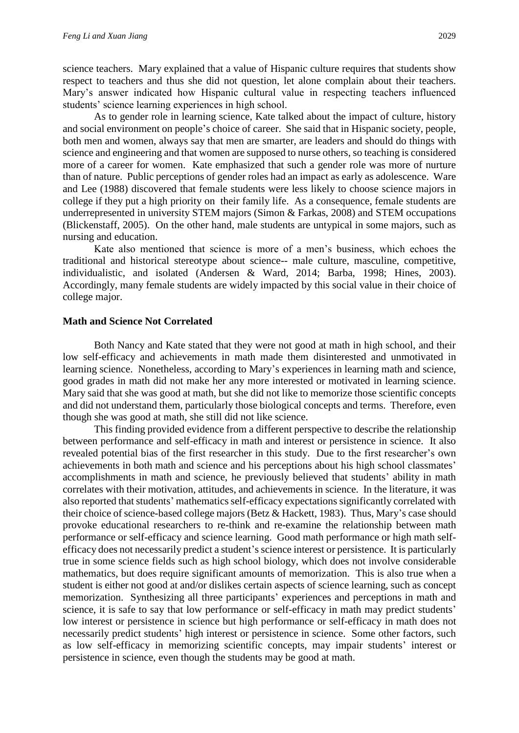science teachers. Mary explained that a value of Hispanic culture requires that students show respect to teachers and thus she did not question, let alone complain about their teachers. Mary's answer indicated how Hispanic cultural value in respecting teachers influenced students' science learning experiences in high school.

As to gender role in learning science, Kate talked about the impact of culture, history and social environment on people's choice of career. She said that in Hispanic society, people, both men and women, always say that men are smarter, are leaders and should do things with science and engineering and that women are supposed to nurse others, so teaching is considered more of a career for women. Kate emphasized that such a gender role was more of nurture than of nature. Public perceptions of gender roles had an impact as early as adolescence. Ware and Lee (1988) discovered that female students were less likely to choose science majors in college if they put a high priority on their family life. As a consequence, female students are underrepresented in university STEM majors (Simon & Farkas, 2008) and STEM occupations (Blickenstaff, 2005). On the other hand, male students are untypical in some majors, such as nursing and education.

Kate also mentioned that science is more of a men's business, which echoes the traditional and historical stereotype about science-- male culture, masculine, competitive, individualistic, and isolated (Andersen & Ward, 2014; Barba, 1998; Hines, 2003). Accordingly, many female students are widely impacted by this social value in their choice of college major.

#### **Math and Science Not Correlated**

Both Nancy and Kate stated that they were not good at math in high school, and their low self-efficacy and achievements in math made them disinterested and unmotivated in learning science. Nonetheless, according to Mary's experiences in learning math and science, good grades in math did not make her any more interested or motivated in learning science. Mary said that she was good at math, but she did not like to memorize those scientific concepts and did not understand them, particularly those biological concepts and terms. Therefore, even though she was good at math, she still did not like science.

This finding provided evidence from a different perspective to describe the relationship between performance and self-efficacy in math and interest or persistence in science. It also revealed potential bias of the first researcher in this study. Due to the first researcher's own achievements in both math and science and his perceptions about his high school classmates' accomplishments in math and science, he previously believed that students' ability in math correlates with their motivation, attitudes, and achievements in science. In the literature, it was also reported that students' mathematics self-efficacy expectations significantly correlated with their choice of science-based college majors (Betz & Hackett, 1983). Thus, Mary's case should provoke educational researchers to re-think and re-examine the relationship between math performance or self-efficacy and science learning. Good math performance or high math selfefficacy does not necessarily predict a student's science interest or persistence. It is particularly true in some science fields such as high school biology, which does not involve considerable mathematics, but does require significant amounts of memorization. This is also true when a student is either not good at and/or dislikes certain aspects of science learning, such as concept memorization. Synthesizing all three participants' experiences and perceptions in math and science, it is safe to say that low performance or self-efficacy in math may predict students' low interest or persistence in science but high performance or self-efficacy in math does not necessarily predict students' high interest or persistence in science. Some other factors, such as low self-efficacy in memorizing scientific concepts, may impair students' interest or persistence in science, even though the students may be good at math.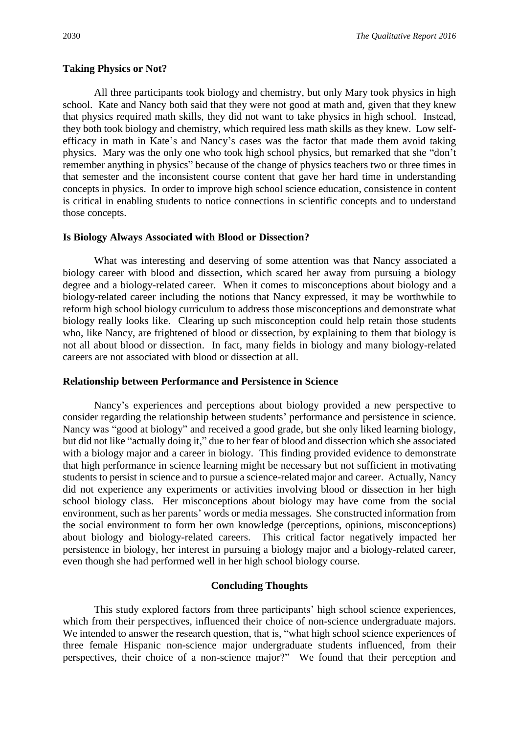#### **Taking Physics or Not?**

All three participants took biology and chemistry, but only Mary took physics in high school. Kate and Nancy both said that they were not good at math and, given that they knew that physics required math skills, they did not want to take physics in high school. Instead, they both took biology and chemistry, which required less math skills as they knew. Low selfefficacy in math in Kate's and Nancy's cases was the factor that made them avoid taking physics. Mary was the only one who took high school physics, but remarked that she "don't remember anything in physics" because of the change of physics teachers two or three times in that semester and the inconsistent course content that gave her hard time in understanding concepts in physics. In order to improve high school science education, consistence in content is critical in enabling students to notice connections in scientific concepts and to understand those concepts.

#### **Is Biology Always Associated with Blood or Dissection?**

What was interesting and deserving of some attention was that Nancy associated a biology career with blood and dissection, which scared her away from pursuing a biology degree and a biology-related career. When it comes to misconceptions about biology and a biology-related career including the notions that Nancy expressed, it may be worthwhile to reform high school biology curriculum to address those misconceptions and demonstrate what biology really looks like. Clearing up such misconception could help retain those students who, like Nancy, are frightened of blood or dissection, by explaining to them that biology is not all about blood or dissection. In fact, many fields in biology and many biology-related careers are not associated with blood or dissection at all.

#### **Relationship between Performance and Persistence in Science**

Nancy's experiences and perceptions about biology provided a new perspective to consider regarding the relationship between students' performance and persistence in science. Nancy was "good at biology" and received a good grade, but she only liked learning biology, but did not like "actually doing it," due to her fear of blood and dissection which she associated with a biology major and a career in biology. This finding provided evidence to demonstrate that high performance in science learning might be necessary but not sufficient in motivating students to persist in science and to pursue a science-related major and career. Actually, Nancy did not experience any experiments or activities involving blood or dissection in her high school biology class. Her misconceptions about biology may have come from the social environment, such as her parents' words or media messages. She constructed information from the social environment to form her own knowledge (perceptions, opinions, misconceptions) about biology and biology-related careers. This critical factor negatively impacted her persistence in biology, her interest in pursuing a biology major and a biology-related career, even though she had performed well in her high school biology course.

## **Concluding Thoughts**

This study explored factors from three participants' high school science experiences, which from their perspectives, influenced their choice of non-science undergraduate majors. We intended to answer the research question, that is, "what high school science experiences of three female Hispanic non-science major undergraduate students influenced, from their perspectives, their choice of a non-science major?" We found that their perception and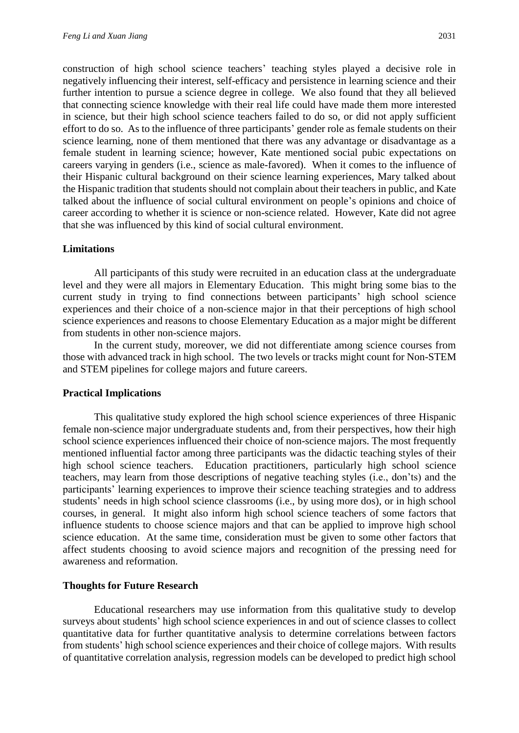construction of high school science teachers' teaching styles played a decisive role in negatively influencing their interest, self-efficacy and persistence in learning science and their further intention to pursue a science degree in college. We also found that they all believed that connecting science knowledge with their real life could have made them more interested in science, but their high school science teachers failed to do so, or did not apply sufficient effort to do so. As to the influence of three participants' gender role as female students on their science learning, none of them mentioned that there was any advantage or disadvantage as a female student in learning science; however, Kate mentioned social pubic expectations on careers varying in genders (i.e., science as male-favored). When it comes to the influence of their Hispanic cultural background on their science learning experiences, Mary talked about the Hispanic tradition that students should not complain about their teachers in public, and Kate talked about the influence of social cultural environment on people's opinions and choice of career according to whether it is science or non-science related. However, Kate did not agree that she was influenced by this kind of social cultural environment.

# **Limitations**

All participants of this study were recruited in an education class at the undergraduate level and they were all majors in Elementary Education. This might bring some bias to the current study in trying to find connections between participants' high school science experiences and their choice of a non-science major in that their perceptions of high school science experiences and reasons to choose Elementary Education as a major might be different from students in other non-science majors.

In the current study, moreover, we did not differentiate among science courses from those with advanced track in high school. The two levels or tracks might count for Non-STEM and STEM pipelines for college majors and future careers.

# **Practical Implications**

This qualitative study explored the high school science experiences of three Hispanic female non-science major undergraduate students and, from their perspectives, how their high school science experiences influenced their choice of non-science majors. The most frequently mentioned influential factor among three participants was the didactic teaching styles of their high school science teachers. Education practitioners, particularly high school science teachers, may learn from those descriptions of negative teaching styles (i.e., don'ts) and the participants' learning experiences to improve their science teaching strategies and to address students' needs in high school science classrooms (i.e., by using more dos), or in high school courses, in general. It might also inform high school science teachers of some factors that influence students to choose science majors and that can be applied to improve high school science education. At the same time, consideration must be given to some other factors that affect students choosing to avoid science majors and recognition of the pressing need for awareness and reformation.

#### **Thoughts for Future Research**

Educational researchers may use information from this qualitative study to develop surveys about students' high school science experiences in and out of science classes to collect quantitative data for further quantitative analysis to determine correlations between factors from students' high school science experiences and their choice of college majors. With results of quantitative correlation analysis, regression models can be developed to predict high school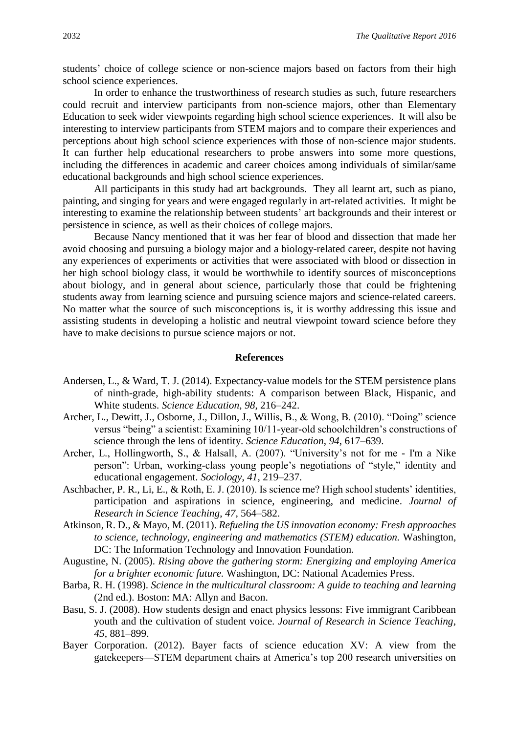students' choice of college science or non-science majors based on factors from their high school science experiences.

In order to enhance the trustworthiness of research studies as such, future researchers could recruit and interview participants from non-science majors, other than Elementary Education to seek wider viewpoints regarding high school science experiences. It will also be interesting to interview participants from STEM majors and to compare their experiences and perceptions about high school science experiences with those of non-science major students. It can further help educational researchers to probe answers into some more questions, including the differences in academic and career choices among individuals of similar/same educational backgrounds and high school science experiences.

All participants in this study had art backgrounds. They all learnt art, such as piano, painting, and singing for years and were engaged regularly in art-related activities. It might be interesting to examine the relationship between students' art backgrounds and their interest or persistence in science, as well as their choices of college majors.

Because Nancy mentioned that it was her fear of blood and dissection that made her avoid choosing and pursuing a biology major and a biology-related career, despite not having any experiences of experiments or activities that were associated with blood or dissection in her high school biology class, it would be worthwhile to identify sources of misconceptions about biology, and in general about science, particularly those that could be frightening students away from learning science and pursuing science majors and science-related careers. No matter what the source of such misconceptions is, it is worthy addressing this issue and assisting students in developing a holistic and neutral viewpoint toward science before they have to make decisions to pursue science majors or not.

#### **References**

- Andersen, L., & Ward, T. J. (2014). Expectancy-value models for the STEM persistence plans of ninth-grade, high-ability students: A comparison between Black, Hispanic, and White students. *Science Education*, *98*, 216–242.
- Archer, L., Dewitt, J., Osborne, J., Dillon, J., Willis, B., & Wong, B. (2010). "Doing" science versus "being" a scientist: Examining 10/11-year-old schoolchildren's constructions of science through the lens of identity. *Science Education*, *94*, 617–639.
- Archer, L., Hollingworth, S., & Halsall, A. (2007). "University's not for me I'm a Nike person": Urban, working-class young people's negotiations of "style," identity and educational engagement. *Sociology*, *41*, 219–237.
- Aschbacher, P. R., Li, E., & Roth, E. J. (2010). Is science me? High school students' identities, participation and aspirations in science, engineering, and medicine. *Journal of Research in Science Teaching*, *47*, 564–582.
- Atkinson, R. D., & Mayo, M. (2011). *Refueling the US innovation economy: Fresh approaches to science, technology, engineering and mathematics (STEM) education.* Washington, DC: The Information Technology and Innovation Foundation.
- Augustine, N. (2005). *Rising above the gathering storm: Energizing and employing America for a brighter economic future.* Washington, DC: National Academies Press.
- Barba, R. H. (1998). *Science in the multicultural classroom: A guide to teaching and learning* (2nd ed.). Boston: MA: Allyn and Bacon.
- Basu, S. J. (2008). How students design and enact physics lessons: Five immigrant Caribbean youth and the cultivation of student voice. *Journal of Research in Science Teaching*, *45*, 881–899.
- Bayer Corporation. (2012). Bayer facts of science education XV: A view from the gatekeepers—STEM department chairs at America's top 200 research universities on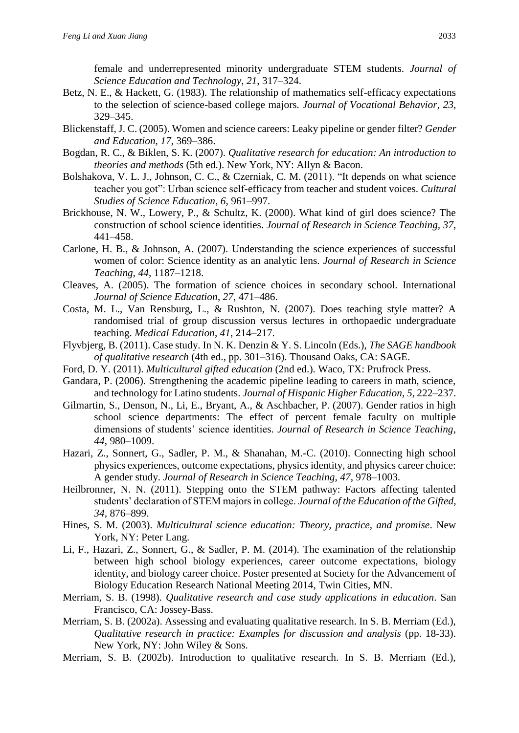female and underrepresented minority undergraduate STEM students. *Journal of Science Education and Technology*, *21*, 317–324.

- Betz, N. E., & Hackett, G. (1983). The relationship of mathematics self-efficacy expectations to the selection of science-based college majors. *Journal of Vocational Behavior*, *23*, 329–345.
- Blickenstaff, J. C. (2005). Women and science careers: Leaky pipeline or gender filter? *Gender and Education*, *17*, 369–386.
- Bogdan, R. C., & Biklen, S. K. (2007). *Qualitative research for education: An introduction to theories and methods* (5th ed.). New York, NY: Allyn & Bacon.
- Bolshakova, V. L. J., Johnson, C. C., & Czerniak, C. M. (2011). "It depends on what science teacher you got": Urban science self-efficacy from teacher and student voices. *Cultural Studies of Science Education*, *6*, 961–997.
- Brickhouse, N. W., Lowery, P., & Schultz, K. (2000). What kind of girl does science? The construction of school science identities. *Journal of Research in Science Teaching, 37*, 441–458.
- Carlone, H. B., & Johnson, A. (2007). Understanding the science experiences of successful women of color: Science identity as an analytic lens. *Journal of Research in Science Teaching*, *44*, 1187–1218.
- Cleaves, A. (2005). The formation of science choices in secondary school. International *Journal of Science Education*, *27*, 471–486.
- Costa, M. L., Van Rensburg, L., & Rushton, N. (2007). Does teaching style matter? A randomised trial of group discussion versus lectures in orthopaedic undergraduate teaching. *Medical Education*, *41*, 214–217.
- Flyvbjerg, B. (2011). Case study. In N. K. Denzin & Y. S. Lincoln (Eds.), *The SAGE handbook of qualitative research* (4th ed., pp. 301–316). Thousand Oaks, CA: SAGE.
- Ford, D. Y. (2011). *Multicultural gifted education* (2nd ed.). Waco, TX: Prufrock Press.
- Gandara, P. (2006). Strengthening the academic pipeline leading to careers in math, science, and technology for Latino students. *Journal of Hispanic Higher Education*, *5*, 222–237.
- Gilmartin, S., Denson, N., Li, E., Bryant, A., & Aschbacher, P. (2007). Gender ratios in high school science departments: The effect of percent female faculty on multiple dimensions of students' science identities. *Journal of Research in Science Teaching*, *44*, 980–1009.
- Hazari, Z., Sonnert, G., Sadler, P. M., & Shanahan, M.-C. (2010). Connecting high school physics experiences, outcome expectations, physics identity, and physics career choice: A gender study. *Journal of Research in Science Teaching*, *47*, 978–1003.
- Heilbronner, N. N. (2011). Stepping onto the STEM pathway: Factors affecting talented students' declaration of STEM majors in college. *Journal of the Education of the Gifted*, *34*, 876–899.
- Hines, S. M. (2003). *Multicultural science education: Theory, practice, and promise*. New York, NY: Peter Lang.
- Li, F., Hazari, Z., Sonnert, G., & Sadler, P. M. (2014). The examination of the relationship between high school biology experiences, career outcome expectations, biology identity, and biology career choice. Poster presented at Society for the Advancement of Biology Education Research National Meeting 2014, Twin Cities, MN.
- Merriam, S. B. (1998). *Qualitative research and case study applications in education*. San Francisco, CA: Jossey-Bass.
- Merriam, S. B. (2002a). Assessing and evaluating qualitative research. In S. B. Merriam (Ed.), *Qualitative research in practice: Examples for discussion and analysis* (pp. 18-33). New York, NY: John Wiley & Sons.
- Merriam, S. B. (2002b). Introduction to qualitative research. In S. B. Merriam (Ed.),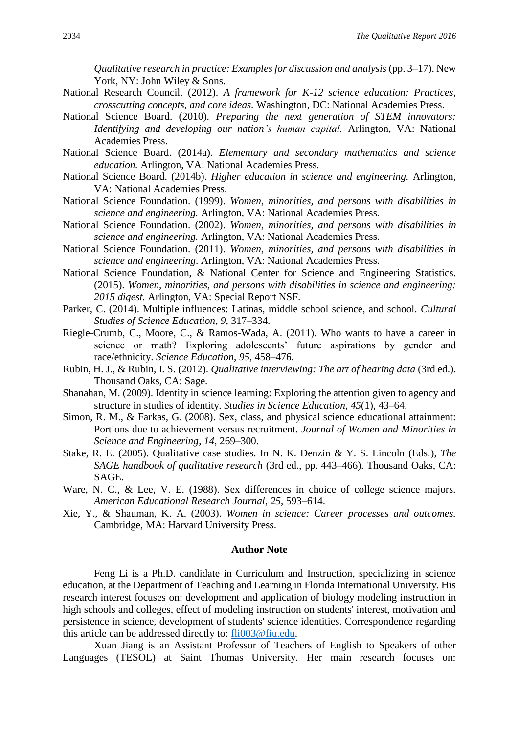*Qualitative research in practice: Examples for discussion and analysis* (pp. 3–17). New York, NY: John Wiley & Sons.

- National Research Council. (2012). *A framework for K-12 science education: Practices, crosscutting concepts, and core ideas.* Washington, DC: National Academies Press.
- National Science Board. (2010). *Preparing the next generation of STEM innovators: Identifying and developing our nation's human capital.* Arlington, VA: National Academies Press.
- National Science Board. (2014a). *Elementary and secondary mathematics and science education.* Arlington, VA: National Academies Press.
- National Science Board. (2014b). *Higher education in science and engineering.* Arlington, VA: National Academies Press.
- National Science Foundation. (1999). *Women, minorities, and persons with disabilities in science and engineering.* Arlington, VA: National Academies Press.
- National Science Foundation. (2002). *Women, minorities, and persons with disabilities in science and engineering.* Arlington, VA: National Academies Press.
- National Science Foundation. (2011). *Women, minorities, and persons with disabilities in science and engineering*. Arlington, VA: National Academies Press.
- National Science Foundation, & National Center for Science and Engineering Statistics. (2015). *Women, minorities, and persons with disabilities in science and engineering: 2015 digest.* Arlington, VA: Special Report NSF.
- Parker, C. (2014). Multiple influences: Latinas, middle school science, and school. *Cultural Studies of Science Education*, *9*, 317–334.
- Riegle-Crumb, C., Moore, C., & Ramos-Wada, A. (2011). Who wants to have a career in science or math? Exploring adolescents' future aspirations by gender and race/ethnicity. *Science Education*, *95*, 458–476.
- Rubin, H. J., & Rubin, I. S. (2012). *Qualitative interviewing: The art of hearing data* (3rd ed.). Thousand Oaks, CA: Sage.
- Shanahan, M. (2009). Identity in science learning: Exploring the attention given to agency and structure in studies of identity. *Studies in Science Education*, *45*(1), 43–64.
- Simon, R. M., & Farkas, G. (2008). Sex, class, and physical science educational attainment: Portions due to achievement versus recruitment. *Journal of Women and Minorities in Science and Engineering*, *14*, 269–300.
- Stake, R. E. (2005). Qualitative case studies. In N. K. Denzin & Y. S. Lincoln (Eds.), *The SAGE handbook of qualitative research* (3rd ed., pp. 443–466). Thousand Oaks, CA: SAGE.
- Ware, N. C., & Lee, V. E. (1988). Sex differences in choice of college science majors. *American Educational Research Journal*, *25*, 593–614.
- Xie, Y., & Shauman, K. A. (2003). *Women in science: Career processes and outcomes.* Cambridge, MA: Harvard University Press.

#### **Author Note**

Feng Li is a Ph.D. candidate in Curriculum and Instruction, specializing in science education, at the Department of Teaching and Learning in Florida International University. His research interest focuses on: development and application of biology modeling instruction in high schools and colleges, effect of modeling instruction on students' interest, motivation and persistence in science, development of students' science identities. Correspondence regarding this article can be addressed directly to: [fli003@fiu.edu.](mailto:fli003@fiu.edu)

Xuan Jiang is an Assistant Professor of Teachers of English to Speakers of other Languages (TESOL) at Saint Thomas University. Her main research focuses on: